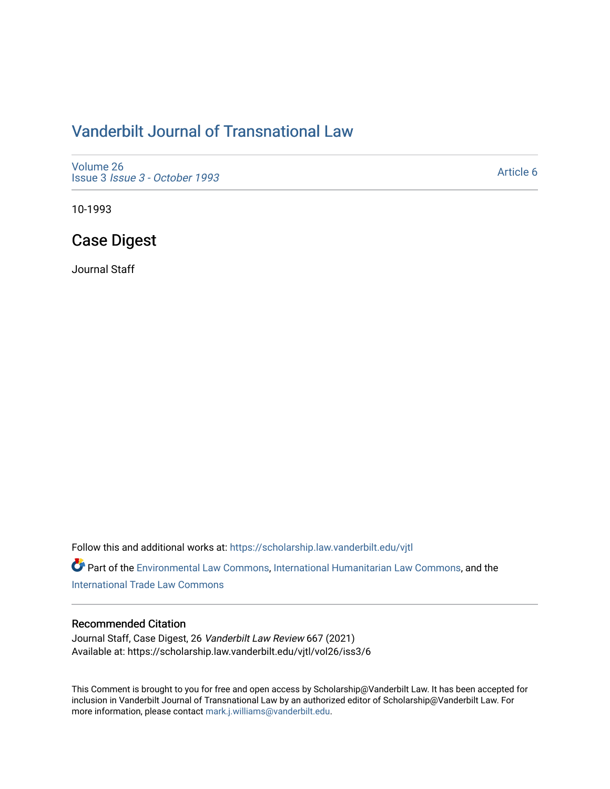## [Vanderbilt Journal of Transnational Law](https://scholarship.law.vanderbilt.edu/vjtl)

[Volume 26](https://scholarship.law.vanderbilt.edu/vjtl/vol26) Issue 3 [Issue 3 - October 1993](https://scholarship.law.vanderbilt.edu/vjtl/vol26/iss3) 

[Article 6](https://scholarship.law.vanderbilt.edu/vjtl/vol26/iss3/6) 

10-1993

### Case Digest

Journal Staff

Follow this and additional works at: [https://scholarship.law.vanderbilt.edu/vjtl](https://scholarship.law.vanderbilt.edu/vjtl?utm_source=scholarship.law.vanderbilt.edu%2Fvjtl%2Fvol26%2Fiss3%2F6&utm_medium=PDF&utm_campaign=PDFCoverPages) 

Part of the [Environmental Law Commons](http://network.bepress.com/hgg/discipline/599?utm_source=scholarship.law.vanderbilt.edu%2Fvjtl%2Fvol26%2Fiss3%2F6&utm_medium=PDF&utm_campaign=PDFCoverPages), [International Humanitarian Law Commons,](http://network.bepress.com/hgg/discipline/1330?utm_source=scholarship.law.vanderbilt.edu%2Fvjtl%2Fvol26%2Fiss3%2F6&utm_medium=PDF&utm_campaign=PDFCoverPages) and the [International Trade Law Commons](http://network.bepress.com/hgg/discipline/848?utm_source=scholarship.law.vanderbilt.edu%2Fvjtl%2Fvol26%2Fiss3%2F6&utm_medium=PDF&utm_campaign=PDFCoverPages) 

#### Recommended Citation

Journal Staff, Case Digest, 26 Vanderbilt Law Review 667 (2021) Available at: https://scholarship.law.vanderbilt.edu/vjtl/vol26/iss3/6

This Comment is brought to you for free and open access by Scholarship@Vanderbilt Law. It has been accepted for inclusion in Vanderbilt Journal of Transnational Law by an authorized editor of Scholarship@Vanderbilt Law. For more information, please contact [mark.j.williams@vanderbilt.edu](mailto:mark.j.williams@vanderbilt.edu).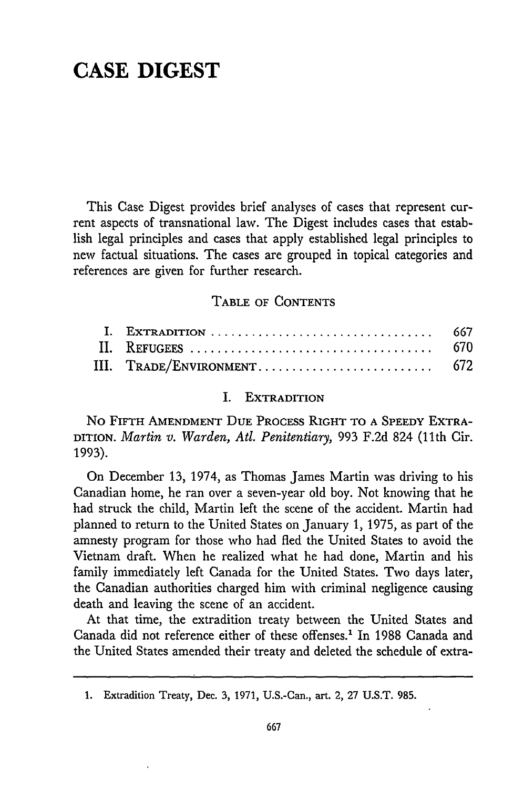# **CASE DIGEST**

This Case Digest provides brief analyses of cases that represent current aspects of transnational law. The Digest includes cases that establish legal principles and cases that apply established legal principles to new factual situations. The cases are grouped in topical categories and references are given for further research.

#### TABLE **OF CONTENTS**

| III. TRADE/ENVIRONMENT 672 |  |
|----------------------------|--|

#### I. EXTRADITION

No **FIFTH AMENDMENT DUE** PROCESS RIGHT TO **A** SPEEDY EXTRA-DITION. *Martin v. Warden, At. Penitentiary,* **993** F.2d 824 (11th Cir. 1993).

On December 13, 1974, as Thomas James Martin was driving to his Canadian home, he ran over a seven-year old boy. Not knowing that he had struck the child, Martin left the scene of the accident. Martin had planned to return to the United States on January 1, 1975, as part of the amnesty program for those who had fled the United States to avoid the Vietnam draft. When he realized what he had done, Martin and his family immediately left Canada for the United States. Two days later, the Canadian authorities charged him with criminal negligence causing death and leaving the scene of an accident.

At that time, the extradition treaty between the United States and Canada did not reference either of these offenses.' In 1988 Canada and the United States amended their treaty and deleted the schedule of extra-

**<sup>1.</sup>** Extradition Treaty, Dec. **3, 1971,** U.S.-Can., art. 2, **27 U.S.T. 985.**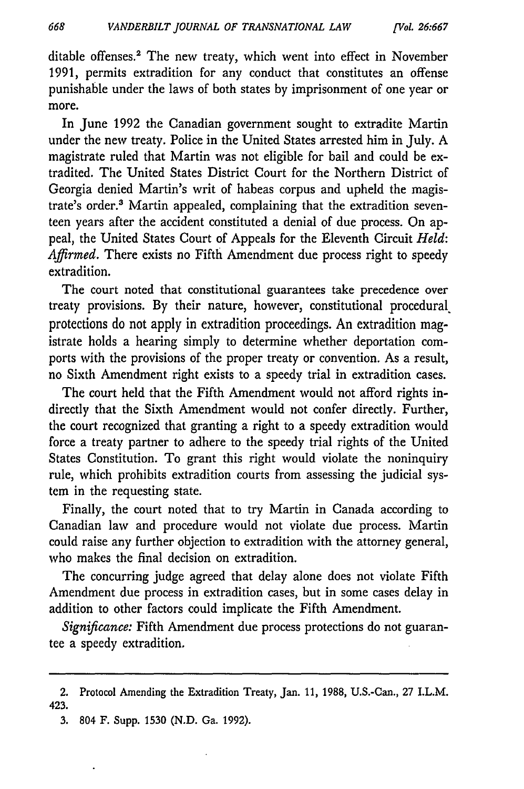ditable offenses.<sup>2</sup> The new treaty, which went into effect in November 1991, permits extradition for any conduct that constitutes an offense punishable under the laws of both states by imprisonment of one year or more.

668

In June 1992 the Canadian government sought to extradite Martin under the new treaty. Police in the United States arrested him in July. A magistrate ruled that Martin was not eligible for bail and could be extradited. The United States District Court for the Northern District of Georgia denied Martin's writ of habeas corpus and upheld the magistrate's order.<sup>3</sup> Martin appealed, complaining that the extradition seventeen years after the accident constituted a denial of due process. On appeal, the United States Court of Appeals for the Eleventh Circuit *Held: Affirmed.* There exists no Fifth Amendment due process right to speedy extradition.

The court noted that constitutional guarantees take precedence over treaty provisions. **By** their nature, however, constitutional procedural protections do not apply in extradition proceedings. An extradition magistrate holds a hearing simply to determine whether deportation comports with the provisions of the proper treaty or convention. As a result, no Sixth Amendment right exists to a speedy trial in extradition cases.

The court held that the Fifth Amendment would not afford rights indirectly that the Sixth Amendment would not confer directly. Further, the court recognized that granting a right to a speedy extradition would force a treaty partner to adhere to the speedy trial rights of the United States Constitution. To grant this right would violate the noninquiry rule, which prohibits extradition courts from assessing the judicial system in the requesting state.

Finally, the court noted that to try Martin in Canada according to Canadian law and procedure would not violate due process. Martin could raise any further objection to extradition with the attorney general, who makes the final decision on extradition.

The concurring judge agreed that delay alone does not violate Fifth Amendment due process in extradition cases, but in some cases delay in addition to other factors could implicate the Fifth Amendment.

*Significance:* Fifth Amendment due process protections do not guarantee a speedy extradition.

3. 804 F. Supp. 1530 **(N.D.** Ga. 1992).

<sup>2.</sup> Protocol Amending the Extradition Treaty, Jan. 11, 1988, U.S.-Can., 27 I.L.M. 423.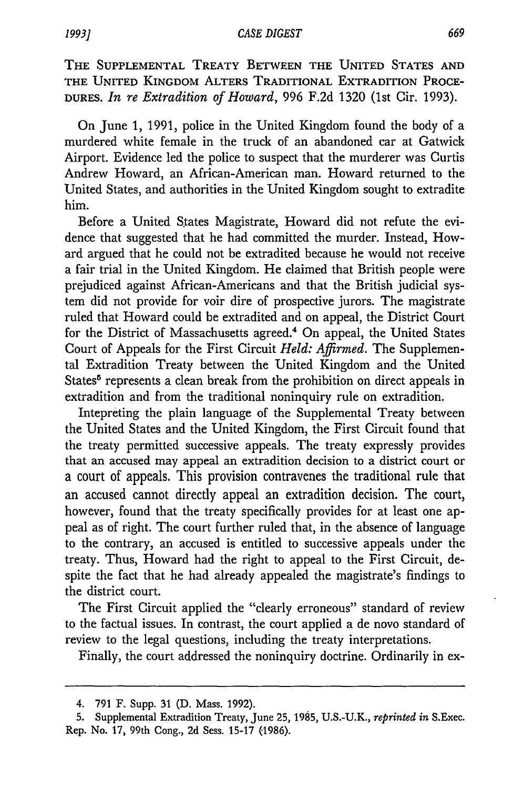THE **SUPPLEMENTAL** TREATY **BETWEEN** THE UNITED **STATES AND** THE **UNITED** KINGDOM ALTERS TRADITIONAL EXTRADITION PROCE-**DURES.** *In re Extradition of Howard,* 996 F.2d 1320 (lst Cir. 1993).

On June 1, 1991, police in the United Kingdom found the body of a murdered white female in the truck of an abandoned car at Gatwick Airport. Evidence led the police to suspect that the murderer was Curtis Andrew Howard, an African-American man. Howard returned to the United States, and authorities in the United Kingdom sought to extradite him.

Before a United States Magistrate, Howard did not refute the evidence that suggested that he had committed the murder. Instead, Howard argued that he could not be extradited because he would not receive a fair trial in the United Kingdom. He claimed that British people were prejudiced against African-Americans and that the British judicial system did not provide for voir dire of prospective jurors. The magistrate ruled that Howard could be extradited and on appeal, the District Court for the District of Massachusetts agreed.<sup>4</sup> On appeal, the United States Court of Appeals for the First Circuit *Held: Affirmed.* The Supplemental Extradition Treaty between the United Kingdom and the United States<sup>5</sup> represents a clean break from the prohibition on direct appeals in extradition and from the traditional noninquiry rule on extradition.

Intepreting the plain language of the Supplemental Treaty between the United States and the United Kingdom, the First Circuit found that the treaty permitted successive appeals. The treaty expressly provides that an accused may appeal an extradition decision to a district court or a court of appeals. This provision contravenes the traditional rule that an accused cannot directly appeal an extradition decision. The court, however, found that the treaty specifically provides for at least one appeal as of right. The court further ruled that, in the absence of language to the contrary, an accused is entitled to successive appeals under the treaty. Thus, Howard had the right to appeal to the First Circuit, despite the fact that he had already appealed the magistrate's findings to the district court.

The First Circuit applied the "clearly erroneous" standard of review to the factual issues. In contrast, the court applied a de novo standard of review to the legal questions, including the treaty interpretations.

Finally, the court addressed the noninquiry doctrine. Ordinarily in ex-

<sup>4.</sup> **791** F. Supp. **31 (D.** Mass. **1992).**

**<sup>5.</sup>** Supplemental Extradition Treaty, June **25, 1985, U.S.-U.K.,** *reprinted in* S.Exec. Rep. No. **17,** 99th Cong., **2d** Sess. **15-17 (1986).**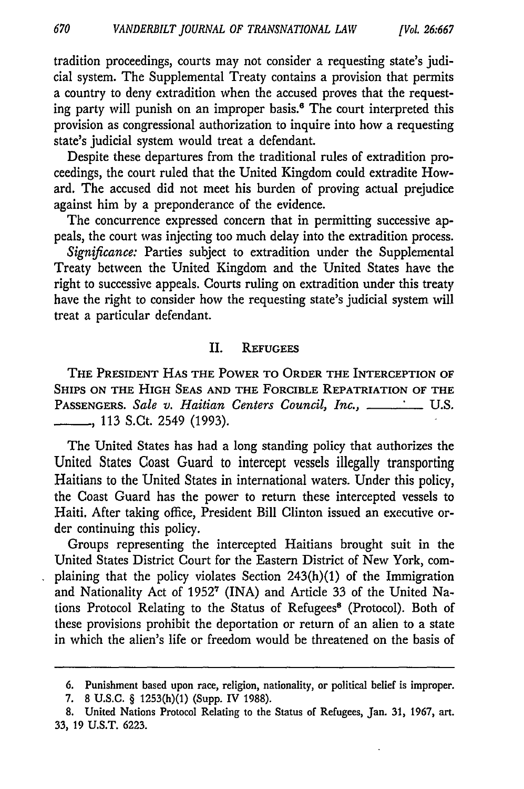tradition proceedings, courts may not consider a requesting state's judicial system. The Supplemental Treaty contains a provision that permits a country to deny extradition when the accused proves that the requesting party will punish on an improper basis.<sup>6</sup> The court interpreted this provision as congressional authorization to inquire into how a requesting state's judicial system would treat a defendant.

Despite these departures from the traditional rules of extradition proceedings, the court ruled that the United Kingdom could extradite Howard. The accused did not meet his burden of proving actual prejudice against him by a preponderance of the evidence.

The concurrence expressed concern that in permitting successive appeals, the court was injecting too much delay into the extradition process.

*Significance:* Parties subject to extradition under the Supplemental Treaty between the United Kingdom and the United States have the right to successive appeals. Courts ruling on extradition under this treaty have the right to consider how the requesting state's judicial system will treat a particular defendant.

#### II. **REFUGEES**

**THE PRESIDENT HAS THE POWER TO ORDER THE INTERCEPTION OF SHIPS ON THE HIGH SEAS AND THE FORCIBLE REPATRIATION OF THE** PASSENGERS. Sale v. Haitian Centers Council, Inc., \_\_\_\_\_\_\_\_\_\_ U.S. \_\_ **,** 113 S.Ct. 2549 (1993).

The United States has had a long standing policy that authorizes the United States Coast Guard to intercept vessels illegally transporting Haitians to the United States in international waters. Under this policy, the Coast Guard has the power to return these intercepted vessels to Haiti. After taking office, President Bill Clinton issued an executive order continuing this policy.

Groups representing the intercepted Haitians brought suit in the United States District Court for the Eastern District of New York, complaining that the policy violates Section 243(h)(1) of the Immigration and Nationality Act of **19527** (INA) and Article 33 of the United Nations Protocol Relating to the Status of Refugees<sup>8</sup> (Protocol). Both of these provisions prohibit the deportation or return of an alien to a state in which the alien's life or freedom would be threatened on the basis of

**<sup>6.</sup>** Punishment based upon race, religion, nationality, or political belief is improper.

**<sup>7. 8</sup>** U.S.C. § 1253(h)(1) (Supp. IV **1988).**

<sup>8.</sup> United Nations Protocol Relating to the Status of Refugees, Jan. 31, 1967, art. 33, 19 U.S.T. 6223.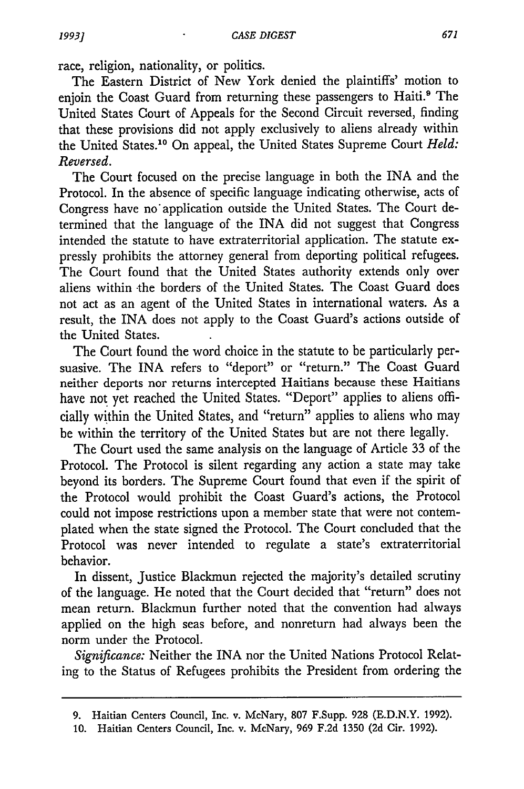race, religion, nationality, or politics.

The Eastern District of New York denied the plaintiffs' motion to enjoin the Coast Guard from returning these passengers to Haiti.<sup>9</sup> The United States Court of Appeals for the Second Circuit reversed, finding that these provisions did not apply exclusively to aliens already within the United States.10 On appeal, the United States Supreme Court *Held: Reversed.*

The Court focused on the precise language in both the INA and the Protocol. In the absence of specific language indicating otherwise, acts of Congress have no application outside the United States. The Court determined that the language of the INA did not suggest that Congress intended the statute to have extraterritorial application. The statute expressly prohibits the attorney general from deporting political refugees. The Court found that the United States authority extends only over aliens within -the borders of the United States. The Coast Guard does not act as an agent of the United States in international waters. As a result, the INA does not apply to the Coast Guard's actions outside of the United States.

The Court found the word choice in the statute to be particularly persuasive. The INA refers to "deport" or "return." The Coast Guard neither deports nor returns intercepted Haitians because these Haitians have not yet reached the United States. "Deport" applies to aliens officially within the United States, and "return" applies to aliens who may be within the territory of the United States but are not there legally.

The Court used the same analysis on the language of Article 33 of the Protocol. The Protocol is silent regarding any action a state may take beyond its borders. The Supreme Court found that even if the spirit of the Protocol would prohibit the Coast Guard's actions, the Protocol could not impose restrictions upon a member state that were not contemplated when the state signed the Protocol. The Court concluded that the Protocol was never intended to regulate a state's extraterritorial behavior.

In dissent, Justice Blackmun rejected the majority's detailed scrutiny of the language. He noted that the Court decided that "return" does not mean return. Blackmun further noted that the convention had always applied on the high seas before, and nonreturn had always been the norm under the Protocol.

*Significance:* Neither the INA nor the United Nations Protocol Relating to the Status of Refugees prohibits the President from ordering the

<sup>9.</sup> Haitian Centers Council, Inc. v. McNary, 807 F.Supp. 928 (E.D.N.Y. 1992).

<sup>10.</sup> Haitian Centers Council, Inc. v. McNary, 969 F.2d 1350 (2d Cir. 1992).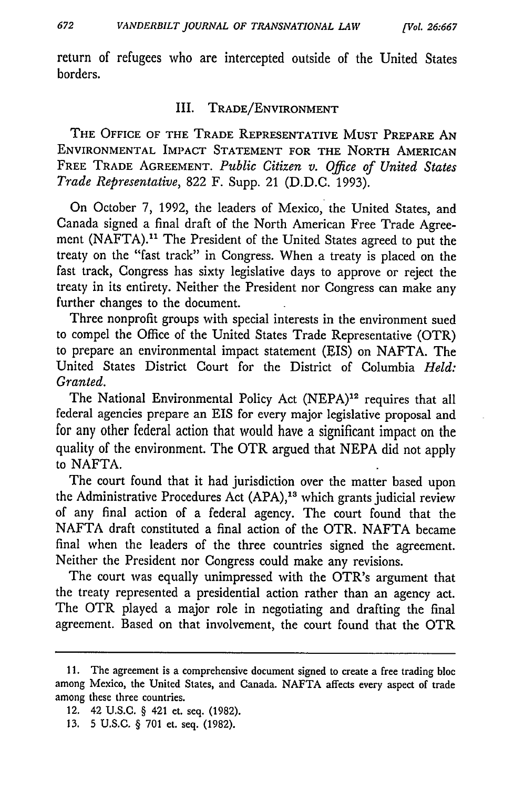return of refugees who are intercepted outside of the United States borders.

#### III. TRADE/ENVIRONMENT

THE OFFICE OF THE TRADE REPRESENTATIVE **MUST** PREPARE AN ENVIRONMENTAL IMPACT **STATEMENT** FOR **THE** NORTH AMERICAN FREE TRADE **AGREEMENT.** *Public Citizen v. Office of United States Trade Representative,* **822** F. Supp. 21 (D.D.C. 1993).

On October **7, 1992,** the leaders of Mexico, the United States, and Canada signed a final draft of the North American Free Trade Agreement (NAFTA).<sup>11</sup> The President of the United States agreed to put the treaty on the "fast track" in Congress. When a treaty is placed on the fast track, Congress has sixty legislative days to approve or reject the treaty in its entirety. Neither the President nor Congress can make any further changes to the document.

Three nonprofit groups with special interests in the environment sued to compel the Office of the United States Trade Representative (OTR) to prepare an environmental impact statement (EIS) on **NAFTA.** The United States District Court for the District of Columbia *Held: Granted.*

The National Environmental Policy Act (NEPA)<sup>12</sup> requires that all federal agencies prepare an EIS for every major legislative proposal and for any other federal action that would have a significant impact on the quality of the environment. The OTR argued that **NEPA** did not apply to NAFTA.

The court found that it had jurisdiction over the matter based upon the Administrative Procedures Act **(APA),' <sup>3</sup>**which grants judicial review of any final action of a federal agency. The court found that the **NAFTA** draft constituted a final action of the OTR. **NAFTA** became final when the leaders of the three countries signed the agreement. Neither the President nor Congress could make any revisions.

The court was equally unimpressed with the OTR's argument that the treaty represented a presidential action rather than an agency act. The OTR played a major role in negotiating and drafting the final agreement. Based on that involvement, the court found that the OTR

- 12. 42 **U.S.C.** § 421 et. seq. **(1982).**
- **13.** 5 **U.S.C.** § **701** et. seq. **(1982).**

**<sup>11.</sup>** The agreement is a comprehensive document signed to create a free trading bloc among Mexico, the United States, and Canada. **NAFTA** affects every aspect of trade among these three countries.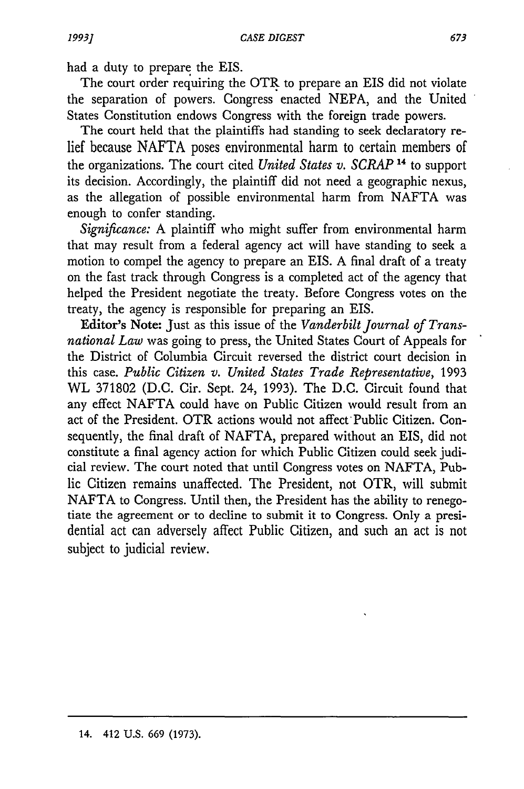had a duty to prepare the EIS.

The court order requiring the OTR to prepare an EIS did not violate the separation of powers. Congress enacted NEPA, and the United States Constitution endows Congress with the foreign trade powers.

The court held that the plaintiffs had standing to seek declaratory relief because NAFTA poses environmental harm to certain members of the organizations. The court cited *United States v. SCRAP* **14** to support its decision. Accordingly, the plaintiff did not need a geographic nexus, as the allegation of possible environmental harm from NAFTA was enough to confer standing.

*Significance:* A plaintiff who might suffer from environmental harm that may result from a federal agency act will have standing to seek a motion to compel the agency to prepare an EIS. A final draft of a treaty on the fast track through Congress is a completed act of the agency that helped the President negotiate the treaty. Before Congress votes on the treaty, the agency is responsible for preparing an EIS.

Editor's Note: Just as this issue of the *Vanderbilt Journal of Transnational Law* was going to press, the United States Court of Appeals for the District of Columbia Circuit reversed the district court decision in this case. *Public Citizen v. United States Trade Representative,* 1993 WL 371802 (D.C. Cir. Sept. 24, 1993). The D.C. Circuit found that any effect NAFTA could have on Public Citizen would result from an act of the President. OTR actions would not affect Public Citizen. Consequently, the final draft of NAFTA, prepared without an EIS, did not constitute a final agency action for which Public Citizen could seek judicial review. The court noted that until Congress votes on NAFTA, Public Citizen remains unaffected. The President, not OTR, will submit NAFTA to Congress. Until then, the President has the ability to renegotiate the agreement or to decline to submit it to Congress. Only a presidential act can adversely affect Public Citizen, and such an act is not subject to judicial review.